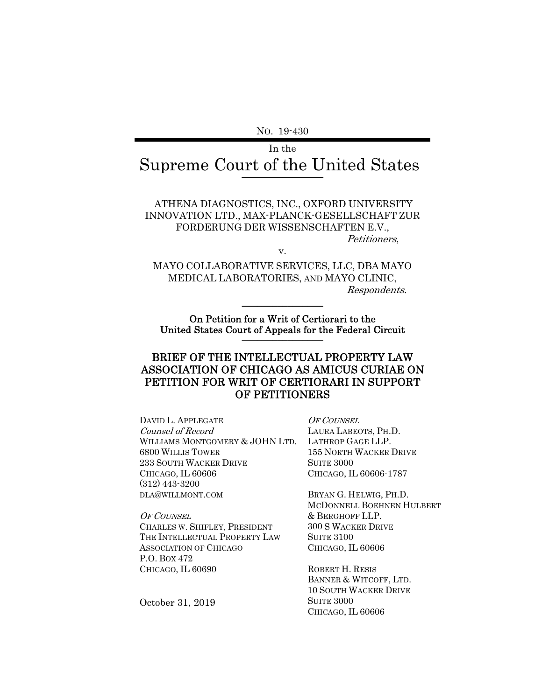NO. 19-430

# In the Supreme Court of the United States \_\_\_\_\_\_\_\_\_\_\_\_\_\_\_\_

ATHENA DIAGNOSTICS, INC., OXFORD UNIVERSITY INNOVATION LTD., MAX-PLANCK-GESELLSCHAFT ZUR FORDERUNG DER WISSENSCHAFTEN E.V., Petitioners,

v.

MAYO COLLABORATIVE SERVICES, LLC, DBA MAYO MEDICAL LABORATORIES, AND MAYO CLINIC, Respondents.

 $\frac{1}{2}$ 

On Petition for a Writ of Certiorari to the United States Court of Appeals for the Federal Circuit \_\_\_\_\_\_\_\_\_\_\_\_\_\_\_\_

#### BRIEF OF THE INTELLECTUAL PROPERTY LAW ASSOCIATION OF CHICAGO AS AMICUS CURIAE ON PETITION FOR WRIT OF CERTIORARI IN SUPPORT OF PETITIONERS

DAVID L. APPLEGATE Counsel of Record WILLIAMS MONTGOMERY & JOHN LTD. 6800 WILLIS TOWER 233 SOUTH WACKER DRIVE CHICAGO, IL 60606 (312) 443-3200 DLA@WILLMONT.COM

OF COUNSEL CHARLES W. SHIFLEY, PRESIDENT THE INTELLECTUAL PROPERTY LAW ASSOCIATION OF CHICAGO P.O. BOX 472 CHICAGO, IL 60690

OF COUNSEL LAURA LABEOTS, PH.D. LATHROP GAGE LLP. 155 NORTH WACKER DRIVE SUITE 3000 CHICAGO, IL 60606-1787

BRYAN G. HELWIG, PH.D. MCDONNELL BOEHNEN HULBERT & BERGHOFF LLP. 300 S WACKER DRIVE SUITE 3100 CHICAGO, IL 60606

ROBERT H. RESIS BANNER & WITCOFF, LTD. 10 SOUTH WACKER DRIVE **SUITE 3000** CHICAGO, IL 60606

October 31, 2019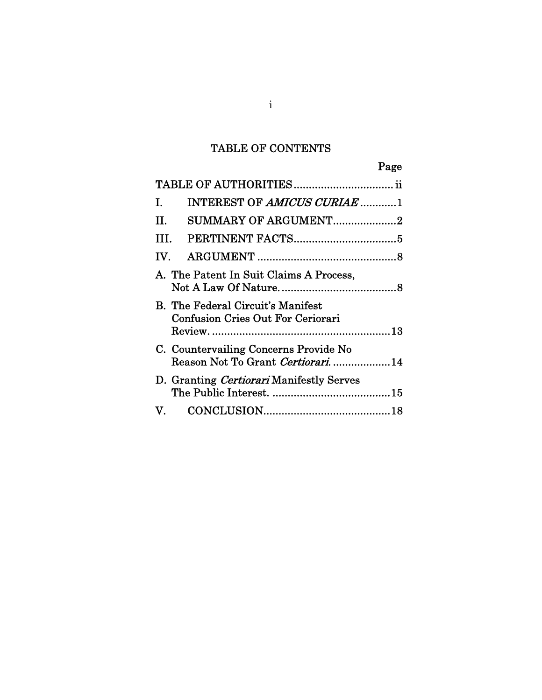# TABLE OF CONTENTS

Page

| Ι.                                                                                   | INTEREST OF AMICUS CURIAE 1                                               |  |  |
|--------------------------------------------------------------------------------------|---------------------------------------------------------------------------|--|--|
| II.                                                                                  | <b>SUMMARY OF ARGUMENT2</b>                                               |  |  |
| III.                                                                                 |                                                                           |  |  |
| IV.                                                                                  |                                                                           |  |  |
| A. The Patent In Suit Claims A Process,                                              |                                                                           |  |  |
| <b>B.</b> The Federal Circuit's Manifest<br><b>Confusion Cries Out For Ceriorari</b> |                                                                           |  |  |
|                                                                                      | C. Countervailing Concerns Provide No<br>Reason Not To Grant Certiorari14 |  |  |
|                                                                                      | D. Granting Certiorari Manifestly Serves                                  |  |  |
|                                                                                      |                                                                           |  |  |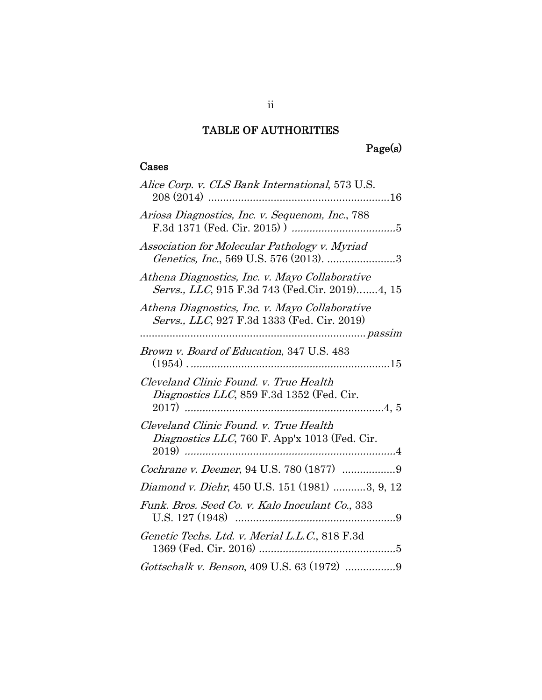# TABLE OF AUTHORITIES

# Page(s)

### Cases

| Alice Corp. v. CLS Bank International, 573 U.S.                                                  |
|--------------------------------------------------------------------------------------------------|
| Ariosa Diagnostics, Inc. v. Sequenom, Inc., 788                                                  |
| Association for Molecular Pathology v. Myriad                                                    |
| Athena Diagnostics, Inc. v. Mayo Collaborative<br>Servs., LLC, 915 F.3d 743 (Fed.Cir. 2019)4, 15 |
| Athena Diagnostics, Inc. v. Mayo Collaborative<br>Servs., LLC, 927 F.3d 1333 (Fed. Cir. 2019)    |
|                                                                                                  |
| Brown v. Board of Education, 347 U.S. 483                                                        |
| Cleveland Clinic Found. v. True Health<br>Diagnostics LLC, 859 F.3d 1352 (Fed. Cir.              |
| Cleveland Clinic Found. v. True Health<br><i>Diagnostics LLC</i> , 760 F. App'x 1013 (Fed. Cir.  |
|                                                                                                  |
| Diamond v. Diehr, 450 U.S. 151 (1981) 3, 9, 12                                                   |
| Funk. Bros. Seed Co. v. Kalo Inoculant Co., 333                                                  |
| Genetic Techs. Ltd. v. Merial L.L.C., 818 F.3d                                                   |
| Gottschalk v. Benson, 409 U.S. 63 (1972) 9                                                       |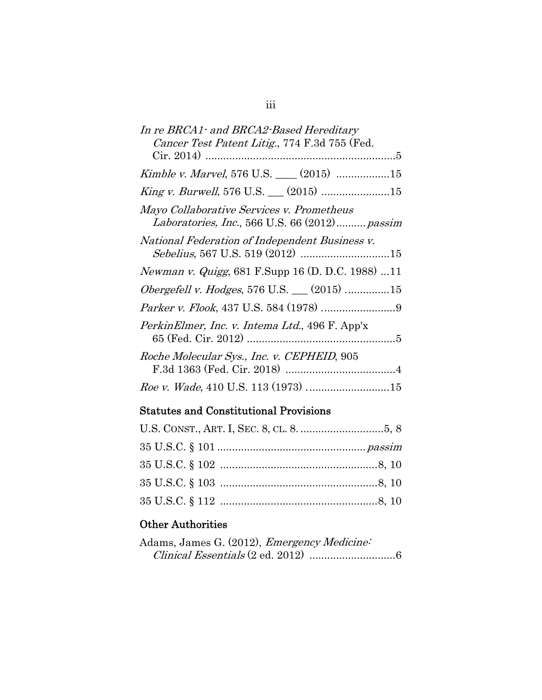| In re BRCA1 and BRCA2 Based Hereditary<br>Cancer Test Patent Litig., 774 F.3d 755 (Fed.    |  |  |  |
|--------------------------------------------------------------------------------------------|--|--|--|
|                                                                                            |  |  |  |
| Kimble v. Marvel, 576 U.S. ___ (2015) 15                                                   |  |  |  |
|                                                                                            |  |  |  |
| Mayo Collaborative Services v. Prometheus<br>Laboratories, Inc., 566 U.S. 66 (2012) passim |  |  |  |
| National Federation of Independent Business v.                                             |  |  |  |
| <i>Newman v. Quigg</i> , 681 F.Supp 16 (D. D.C. 1988) 11                                   |  |  |  |
| Obergefell v. Hodges, 576 U.S. (2015) 15                                                   |  |  |  |
|                                                                                            |  |  |  |
| PerkinElmer, Inc. v. Intema Ltd., 496 F. App'x                                             |  |  |  |
| Roche Molecular Sys., Inc. v. CEPHEID, 905                                                 |  |  |  |
| Roe v. Wade, 410 U.S. 113 (1973) 15                                                        |  |  |  |

# Statutes and Constitutional Provisions

## Other Authorities

| Adams, James G. (2012), <i>Emergency Medicine</i> : |  |
|-----------------------------------------------------|--|
|                                                     |  |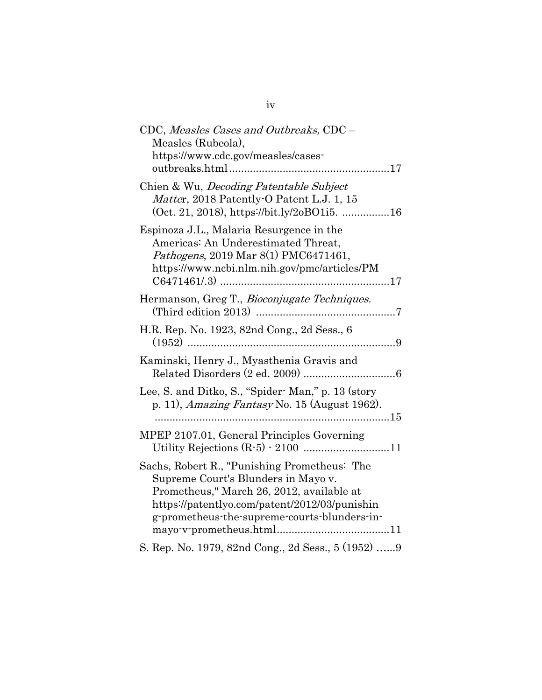| CDC, Measles Cases and Outbreaks, CDC -<br>Measles (Rubeola),<br>https://www.cdc.gov/measles/cases-                                                                                                                                     |
|-----------------------------------------------------------------------------------------------------------------------------------------------------------------------------------------------------------------------------------------|
| Chien & Wu, <i>Decoding Patentable Subject</i><br>Matter, 2018 Patently O Patent L.J. 1, 15<br>$(Oct. 21, 2018)$ , https://bit.ly/2oBO1i5. 16                                                                                           |
| Espinoza J.L., Malaria Resurgence in the<br>Americas: An Underestimated Threat,<br><i>Pathogens</i> , 2019 Mar 8(1) PMC6471461,<br>https://www.ncbi.nlm.nih.gov/pmc/articles/PM                                                         |
| Hermanson, Greg T., Bioconjugate Techniques.                                                                                                                                                                                            |
| H.R. Rep. No. 1923, 82nd Cong., 2d Sess., 6                                                                                                                                                                                             |
| Kaminski, Henry J., Myasthenia Gravis and                                                                                                                                                                                               |
| Lee, S. and Ditko, S., "Spider- Man," p. 13 (story<br>p. 11), Amazing Fantasy No. 15 (August 1962).                                                                                                                                     |
| MPEP 2107.01, General Principles Governing                                                                                                                                                                                              |
| Sachs, Robert R., "Punishing Prometheus: The<br>Supreme Court's Blunders in Mayo v.<br>Prometheus," March 26, 2012, available at<br>https://patentlyo.com/patent/2012/03/punishin<br>g-prometheus-the-supreme-courts-blunders-in-<br>11 |
| S. Rep. No. 1979, 82nd Cong., 2d Sess., 5 (1952) 9                                                                                                                                                                                      |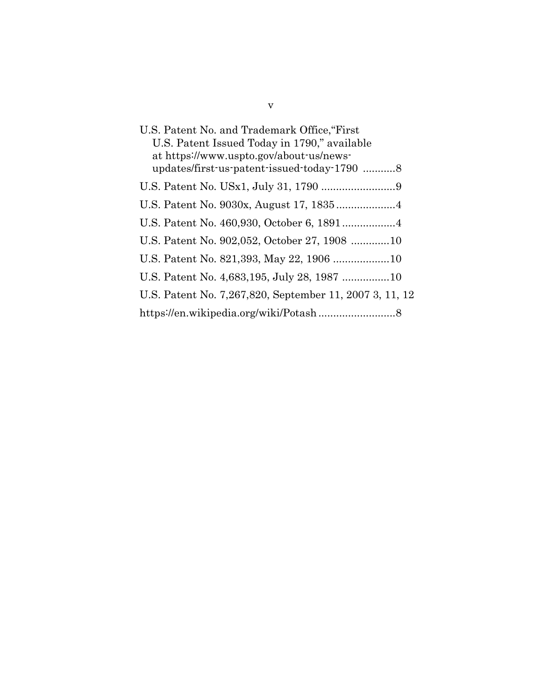| U.S. Patent No. and Trademark Office, "First"<br>U.S. Patent Issued Today in 1790," available<br>at https://www.uspto.gov/about-us/news- |  |  |
|------------------------------------------------------------------------------------------------------------------------------------------|--|--|
| updates/first-us-patent-issued-today-1790 8                                                                                              |  |  |
|                                                                                                                                          |  |  |
|                                                                                                                                          |  |  |
|                                                                                                                                          |  |  |
| U.S. Patent No. 902,052, October 27, 1908 10                                                                                             |  |  |
|                                                                                                                                          |  |  |
|                                                                                                                                          |  |  |
| U.S. Patent No. 7,267,820, September 11, 2007 3, 11, 12                                                                                  |  |  |
|                                                                                                                                          |  |  |

v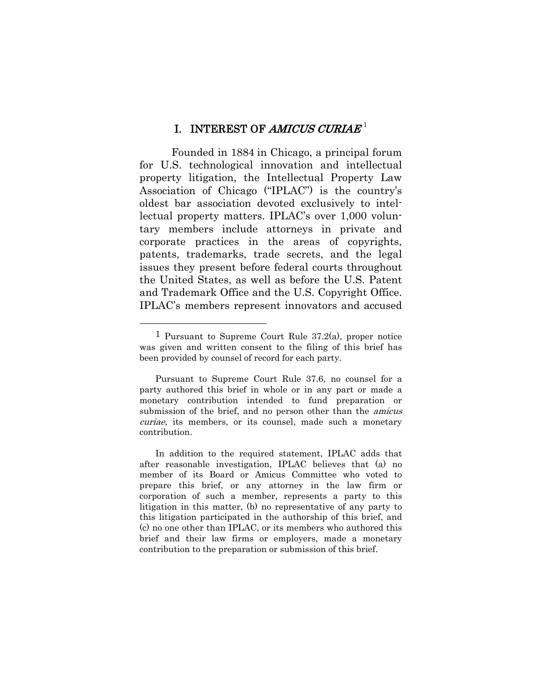#### I. INTEREST OF AMICUS CURIAE<sup>1</sup>

Founded in 1884 in Chicago, a principal forum for U.S. technological innovation and intellectual property litigation, the Intellectual Property Law Association of Chicago ("IPLAC") is the country's oldest bar association devoted exclusively to intellectual property matters. IPLAC's over 1,000 voluntary members include attorneys in private and corporate practices in the areas of copyrights, patents, trademarks, trade secrets, and the legal issues they present before federal courts throughout the United States, as well as before the U.S. Patent and Trademark Office and the U.S. Copyright Office. IPLAC's members represent innovators and accused

<sup>1</sup> Pursuant to Supreme Court Rule 37.2(a), proper notice was given and written consent to the filing of this brief has been provided by counsel of record for each party.

Pursuant to Supreme Court Rule 37.6, no counsel for a party authored this brief in whole or in any part or made a monetary contribution intended to fund preparation or submission of the brief, and no person other than the *amicus* curiae, its members, or its counsel, made such a monetary contribution.

In addition to the required statement, IPLAC adds that after reasonable investigation, IPLAC believes that (a) no member of its Board or Amicus Committee who voted to prepare this brief, or any attorney in the law firm or corporation of such a member, represents a party to this litigation in this matter, (b) no representative of any party to this litigation participated in the authorship of this brief, and (c) no one other than IPLAC, or its members who authored this brief and their law firms or employers, made a monetary contribution to the preparation or submission of this brief.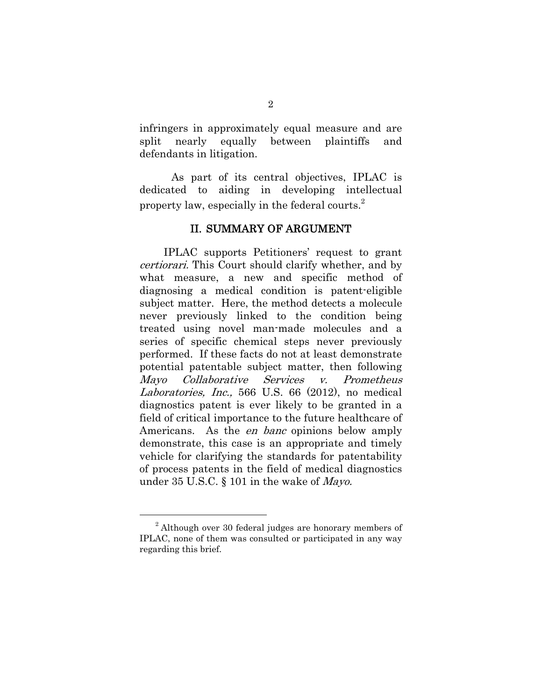infringers in approximately equal measure and are split nearly equally between plaintiffs and defendants in litigation.

As part of its central objectives, IPLAC is dedicated to aiding in developing intellectual property law, especially in the federal courts.<sup>2</sup>

#### II. SUMMARY OF ARGUMENT

IPLAC supports Petitioners' request to grant certiorari. This Court should clarify whether, and by what measure, a new and specific method of diagnosing a medical condition is patent-eligible subject matter. Here, the method detects a molecule never previously linked to the condition being treated using novel man-made molecules and a series of specific chemical steps never previously performed. If these facts do not at least demonstrate potential patentable subject matter, then following Mayo Collaborative Services v. Prometheus Laboratories, Inc., 566 U.S. 66 (2012), no medical diagnostics patent is ever likely to be granted in a field of critical importance to the future healthcare of Americans. As the *en banc* opinions below amply demonstrate, this case is an appropriate and timely vehicle for clarifying the standards for patentability of process patents in the field of medical diagnostics under 35 U.S.C. § 101 in the wake of Mayo.

<sup>&</sup>lt;sup>2</sup> Although over 30 federal judges are honorary members of IPLAC, none of them was consulted or participated in any way regarding this brief.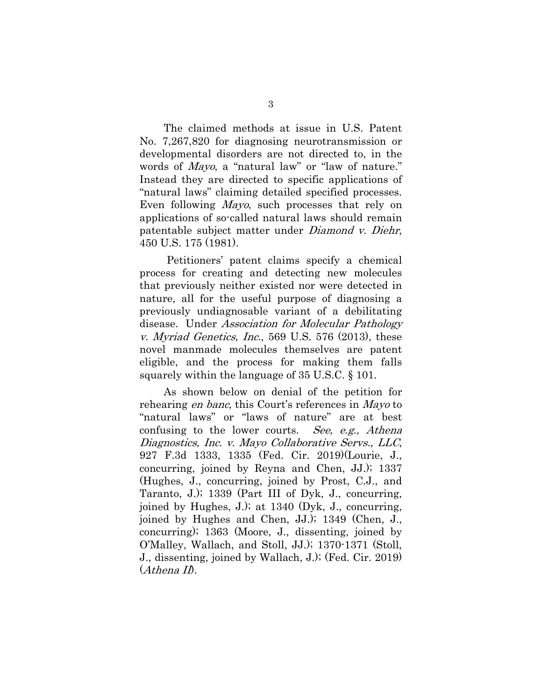The claimed methods at issue in U.S. Patent No. 7,267,820 for diagnosing neurotransmission or developmental disorders are not directed to, in the words of *Mayo*, a "natural law" or "law of nature." Instead they are directed to specific applications of "natural laws" claiming detailed specified processes. Even following Mayo, such processes that rely on applications of so-called natural laws should remain patentable subject matter under Diamond v. Diehr, 450 U.S. 175 (1981).

Petitioners' patent claims specify a chemical process for creating and detecting new molecules that previously neither existed nor were detected in nature, all for the useful purpose of diagnosing a previously undiagnosable variant of a debilitating disease. Under Association for Molecular Pathology v. Myriad Genetics, Inc., 569 U.S. 576 (2013), these novel manmade molecules themselves are patent eligible, and the process for making them falls squarely within the language of 35 U.S.C. § 101.

As shown below on denial of the petition for rehearing en banc, this Court's references in Mayo to "natural laws" or "laws of nature" are at best confusing to the lower courts. See, e.g., Athena Diagnostics, Inc. v. Mayo Collaborative Servs., LLC, 927 F.3d 1333, 1335 (Fed. Cir. 2019)(Lourie, J., concurring, joined by Reyna and Chen, JJ.); 1337 (Hughes, J., concurring, joined by Prost, C.J., and Taranto, J.); 1339 (Part III of Dyk, J., concurring, joined by Hughes, J.); at 1340 (Dyk, J., concurring, joined by Hughes and Chen, JJ.); 1349 (Chen, J., concurring); 1363 (Moore, J., dissenting, joined by O'Malley, Wallach, and Stoll, JJ.); 1370-1371 (Stoll, J., dissenting, joined by Wallach, J.); (Fed. Cir. 2019)  $(Athena II).$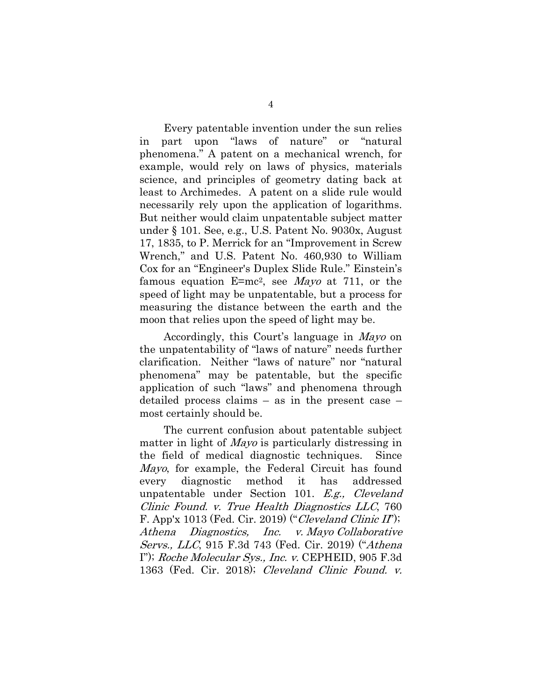Every patentable invention under the sun relies in part upon "laws of nature" or "natural phenomena." A patent on a mechanical wrench, for example, would rely on laws of physics, materials science, and principles of geometry dating back at least to Archimedes. A patent on a slide rule would necessarily rely upon the application of logarithms. But neither would claim unpatentable subject matter under § 101. See, e.g., U.S. Patent No. 9030x, August 17, 1835, to P. Merrick for an "Improvement in Screw Wrench," and U.S. Patent No. 460,930 to William Cox for an "Engineer's Duplex Slide Rule." Einstein's famous equation  $E=mc^2$ , see *Mayo* at 711, or the speed of light may be unpatentable, but a process for measuring the distance between the earth and the moon that relies upon the speed of light may be.

Accordingly, this Court's language in Mayo on the unpatentability of "laws of nature" needs further clarification. Neither "laws of nature" nor "natural phenomena" may be patentable, but the specific application of such "laws" and phenomena through detailed process claims – as in the present case – most certainly should be.

The current confusion about patentable subject matter in light of Mayo is particularly distressing in the field of medical diagnostic techniques. Since Mayo, for example, the Federal Circuit has found every diagnostic method it has addressed unpatentable under Section 101. E.g., Cleveland Clinic Found. v. True Health Diagnostics LLC, 760 F. App'x 1013 (Fed. Cir. 2019) ("Cleveland Clinic II"); Athena Diagnostics, Inc. v. Mayo Collaborative Servs., LLC, 915 F.3d 743 (Fed. Cir. 2019) ("Athena I"); Roche Molecular Sys., Inc. v. CEPHEID, 905 F.3d 1363 (Fed. Cir. 2018); Cleveland Clinic Found. v.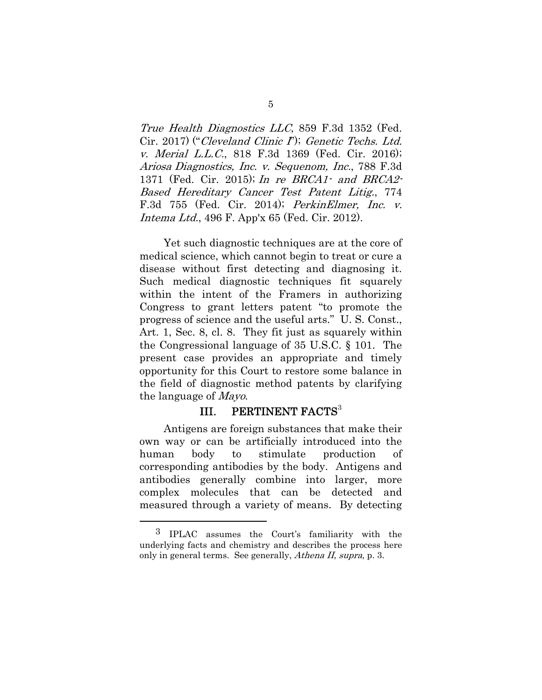True Health Diagnostics LLC, 859 F.3d 1352 (Fed. Cir. 2017) ("Cleveland Clinic I"); Genetic Techs. Ltd. v. Merial L.L.C., 818 F.3d 1369 (Fed. Cir. 2016); Ariosa Diagnostics, Inc. v. Sequenom, Inc., 788 F.3d 1371 (Fed. Cir. 2015); In re BRCA1- and BRCA2- Based Hereditary Cancer Test Patent Litig., 774 F.3d 755 (Fed. Cir. 2014); PerkinElmer, Inc. v. Intema Ltd., 496 F. App'x 65 (Fed. Cir. 2012).

Yet such diagnostic techniques are at the core of medical science, which cannot begin to treat or cure a disease without first detecting and diagnosing it. Such medical diagnostic techniques fit squarely within the intent of the Framers in authorizing Congress to grant letters patent "to promote the progress of science and the useful arts." U. S. Const., Art. 1, Sec. 8, cl. 8. They fit just as squarely within the Congressional language of 35 U.S.C. § 101. The present case provides an appropriate and timely opportunity for this Court to restore some balance in the field of diagnostic method patents by clarifying the language of Mayo.

### III. PERTINENT FACTS<sup>3</sup>

Antigens are foreign substances that make their own way or can be artificially introduced into the human body to stimulate production of corresponding antibodies by the body. Antigens and antibodies generally combine into larger, more complex molecules that can be detected and measured through a variety of means. By detecting

<sup>3</sup> IPLAC assumes the Court's familiarity with the underlying facts and chemistry and describes the process here only in general terms. See generally, *Athena II, supra*, p. 3.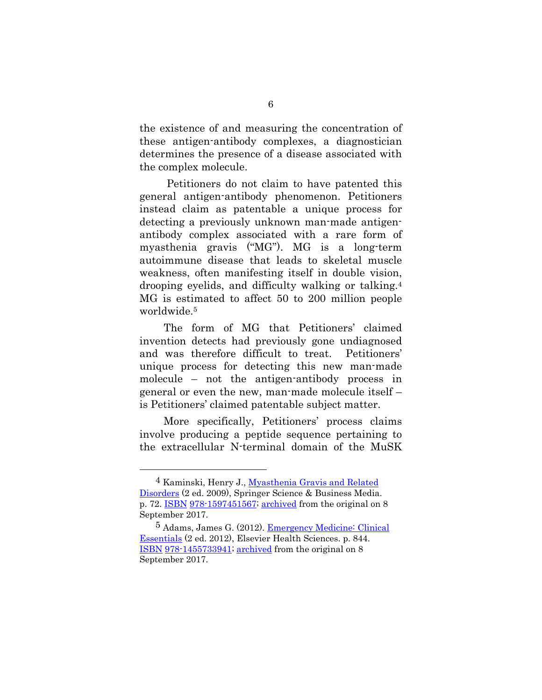the existence of and measuring the concentration of these antigen-antibody complexes, a diagnostician determines the presence of a disease associated with the complex molecule.

 Petitioners do not claim to have patented this general antigen-antibody phenomenon. Petitioners instead claim as patentable a unique process for detecting a previously unknown man-made antigenantibody complex associated with a rare form of myasthenia gravis ("MG"). MG is a long-term autoimmune disease that leads to skeletal muscle weakness, often manifesting itself in double vision, drooping eyelids, and difficulty walking or talking.4 MG is estimated to affect 50 to 200 million people worldwide.5

The form of MG that Petitioners' claimed invention detects had previously gone undiagnosed and was therefore difficult to treat. Petitioners' unique process for detecting this new man-made molecule – not the antigen-antibody process in general or even the new, man-made molecule itself – is Petitioners' claimed patentable subject matter.

More specifically, Petitioners' process claims involve producing a peptide sequence pertaining to the extracellular N-terminal domain of the MuSK

<sup>4</sup> Kaminski, Henry J., Myasthenia Gravis and Related Disorders (2 ed. 2009), Springer Science & Business Media. p. 72. ISBN 978-1597451567; archived from the original on 8 September 2017.

<sup>5</sup> Adams, James G. (2012). Emergency Medicine: Clinical Essentials (2 ed. 2012), Elsevier Health Sciences. p. 844. ISBN 978-1455733941; archived from the original on 8 September 2017.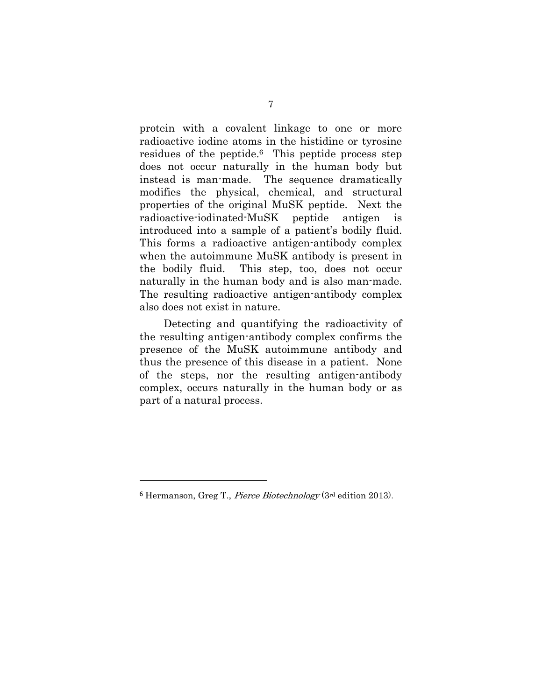protein with a covalent linkage to one or more radioactive iodine atoms in the histidine or tyrosine residues of the peptide.6 This peptide process step does not occur naturally in the human body but instead is man-made. The sequence dramatically modifies the physical, chemical, and structural properties of the original MuSK peptide. Next the radioactive-iodinated-MuSK peptide antigen is introduced into a sample of a patient's bodily fluid. This forms a radioactive antigen-antibody complex when the autoimmune MuSK antibody is present in the bodily fluid. This step, too, does not occur naturally in the human body and is also man-made. The resulting radioactive antigen-antibody complex also does not exist in nature.

Detecting and quantifying the radioactivity of the resulting antigen-antibody complex confirms the presence of the MuSK autoimmune antibody and thus the presence of this disease in a patient. None of the steps, nor the resulting antigen-antibody complex, occurs naturally in the human body or as part of a natural process.

<sup>6</sup> Hermanson, Greg T., Pierce Biotechnology (3rd edition 2013).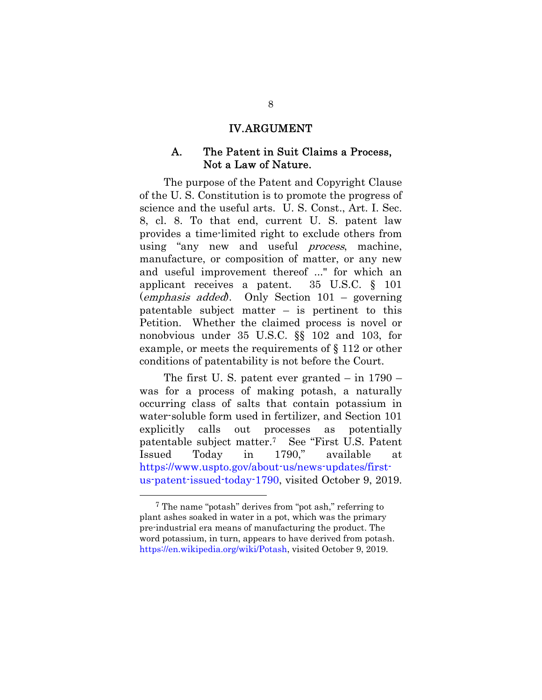#### IV.ARGUMENT

#### A. The Patent in Suit Claims a Process, Not a Law of Nature.

The purpose of the Patent and Copyright Clause of the U. S. Constitution is to promote the progress of science and the useful arts. U. S. Const., Art. I. Sec. 8, cl. 8. To that end, current U. S. patent law provides a time-limited right to exclude others from using "any new and useful *process*, machine, manufacture, or composition of matter, or any new and useful improvement thereof ..." for which an applicant receives a patent. 35 U.S.C. § 101 (emphasis added). Only Section 101 – governing patentable subject matter – is pertinent to this Petition. Whether the claimed process is novel or nonobvious under 35 U.S.C. §§ 102 and 103, for example, or meets the requirements of § 112 or other conditions of patentability is not before the Court.

The first U. S. patent ever granted – in 1790 – was for a process of making potash, a naturally occurring class of salts that contain potassium in water-soluble form used in fertilizer, and Section 101 explicitly calls out processes as potentially patentable subject matter.7 See "First U.S. Patent Issued Today in 1790," available at https://www.uspto.gov/about-us/news-updates/firstus-patent-issued-today-1790, visited October 9, 2019.

<sup>7</sup> The name "potash" derives from "pot ash," referring to plant ashes soaked in water in a pot, which was the primary pre-industrial era means of manufacturing the product. The word potassium, in turn, appears to have derived from potash. https://en.wikipedia.org/wiki/Potash, visited October 9, 2019.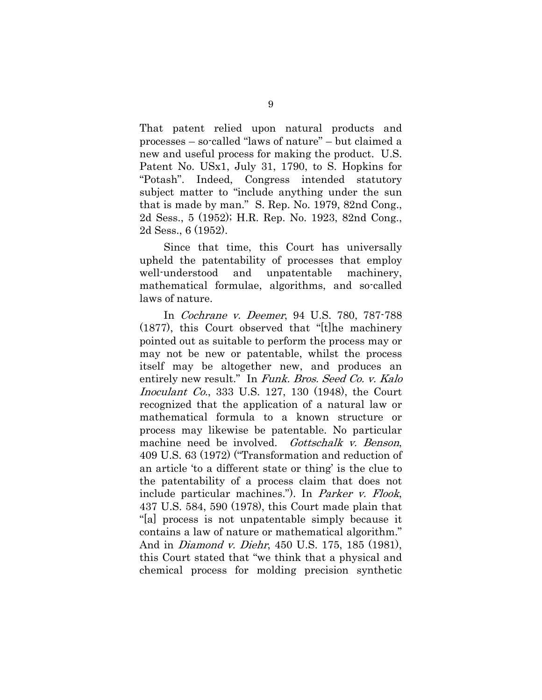That patent relied upon natural products and processes – so-called "laws of nature" – but claimed a new and useful process for making the product. U.S. Patent No. USx1, July 31, 1790, to S. Hopkins for "Potash". Indeed, Congress intended statutory subject matter to "include anything under the sun that is made by man." S. Rep. No. 1979, 82nd Cong., 2d Sess., 5 (1952); H.R. Rep. No. 1923, 82nd Cong., 2d Sess., 6 (1952).

Since that time, this Court has universally upheld the patentability of processes that employ well-understood and unpatentable machinery, mathematical formulae, algorithms, and so-called laws of nature.

In Cochrane v. Deemer, 94 U.S. 780, 787-788 (1877), this Court observed that "[t]he machinery pointed out as suitable to perform the process may or may not be new or patentable, whilst the process itself may be altogether new, and produces an entirely new result." In Funk. Bros. Seed Co. v. Kalo Inoculant Co., 333 U.S. 127, 130 (1948), the Court recognized that the application of a natural law or mathematical formula to a known structure or process may likewise be patentable. No particular machine need be involved. Gottschalk v. Benson, 409 U.S. 63 (1972) ("Transformation and reduction of an article 'to a different state or thing' is the clue to the patentability of a process claim that does not include particular machines."). In Parker v. Flook, 437 U.S. 584, 590 (1978), this Court made plain that "[a] process is not unpatentable simply because it contains a law of nature or mathematical algorithm." And in Diamond v. Diehr, 450 U.S. 175, 185 (1981), this Court stated that "we think that a physical and chemical process for molding precision synthetic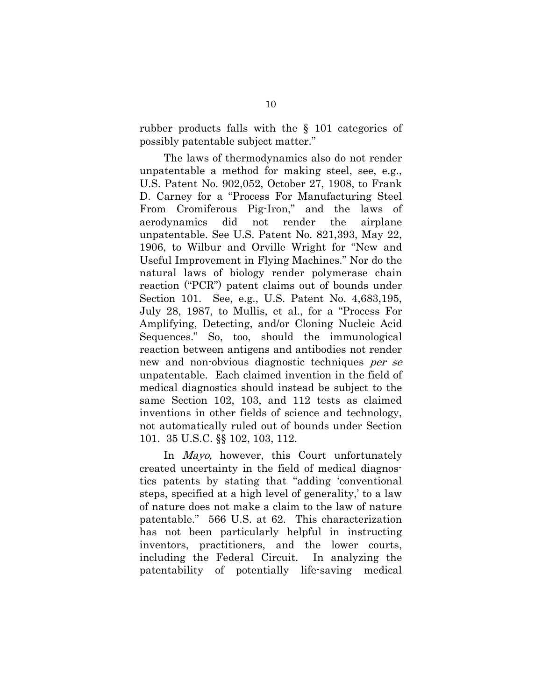rubber products falls with the § 101 categories of possibly patentable subject matter."

The laws of thermodynamics also do not render unpatentable a method for making steel, see, e.g., U.S. Patent No. 902,052, October 27, 1908, to Frank D. Carney for a "Process For Manufacturing Steel From Cromiferous Pig-Iron," and the laws of aerodynamics did not render the airplane unpatentable. See U.S. Patent No. 821,393, May 22, 1906, to Wilbur and Orville Wright for "New and Useful Improvement in Flying Machines." Nor do the natural laws of biology render polymerase chain reaction ("PCR") patent claims out of bounds under Section 101. See, e.g., U.S. Patent No. 4,683,195, July 28, 1987, to Mullis, et al., for a "Process For Amplifying, Detecting, and/or Cloning Nucleic Acid Sequences." So, too, should the immunological reaction between antigens and antibodies not render new and non-obvious diagnostic techniques per se unpatentable. Each claimed invention in the field of medical diagnostics should instead be subject to the same Section 102, 103, and 112 tests as claimed inventions in other fields of science and technology, not automatically ruled out of bounds under Section 101. 35 U.S.C. §§ 102, 103, 112.

In *Mayo*, however, this Court unfortunately created uncertainty in the field of medical diagnostics patents by stating that "adding 'conventional steps, specified at a high level of generality,' to a law of nature does not make a claim to the law of nature patentable." 566 U.S. at 62. This characterization has not been particularly helpful in instructing inventors, practitioners, and the lower courts, including the Federal Circuit. In analyzing the patentability of potentially life-saving medical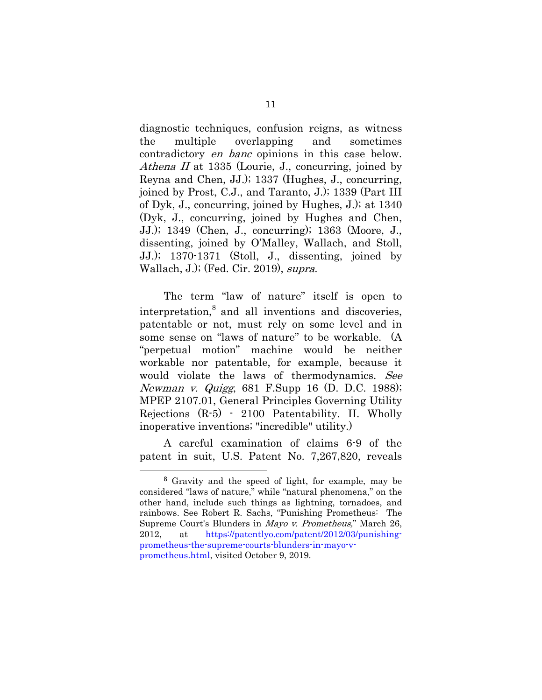diagnostic techniques, confusion reigns, as witness the multiple overlapping and sometimes contradictory en banc opinions in this case below. Athena II at 1335 (Lourie, J., concurring, joined by Reyna and Chen, JJ.); 1337 (Hughes, J., concurring, joined by Prost, C.J., and Taranto, J.); 1339 (Part III of Dyk, J., concurring, joined by Hughes, J.); at 1340 (Dyk, J., concurring, joined by Hughes and Chen, JJ.); 1349 (Chen, J., concurring); 1363 (Moore, J., dissenting, joined by O'Malley, Wallach, and Stoll, JJ.); 1370-1371 (Stoll, J., dissenting, joined by Wallach, J.); (Fed. Cir. 2019), supra.

The term "law of nature" itself is open to interpretation, $\delta$  and all inventions and discoveries, patentable or not, must rely on some level and in some sense on "laws of nature" to be workable. (A "perpetual motion" machine would be neither workable nor patentable, for example, because it would violate the laws of thermodynamics. See Newman v. Quigg, 681 F.Supp 16 (D. D.C. 1988); MPEP 2107.01, General Principles Governing Utility Rejections (R-5) - 2100 Patentability. II. Wholly inoperative inventions; "incredible" utility.)

A careful examination of claims 6-9 of the patent in suit, U.S. Patent No. 7,267,820, reveals

<sup>8</sup> Gravity and the speed of light, for example, may be considered "laws of nature," while "natural phenomena," on the other hand, include such things as lightning, tornadoes, and rainbows. See Robert R. Sachs, "Punishing Prometheus: The Supreme Court's Blunders in Mayo v. Prometheus," March 26, 2012, at https://patentlyo.com/patent/2012/03/punishingprometheus-the-supreme-courts-blunders-in-mayo-vprometheus.html, visited October 9, 2019.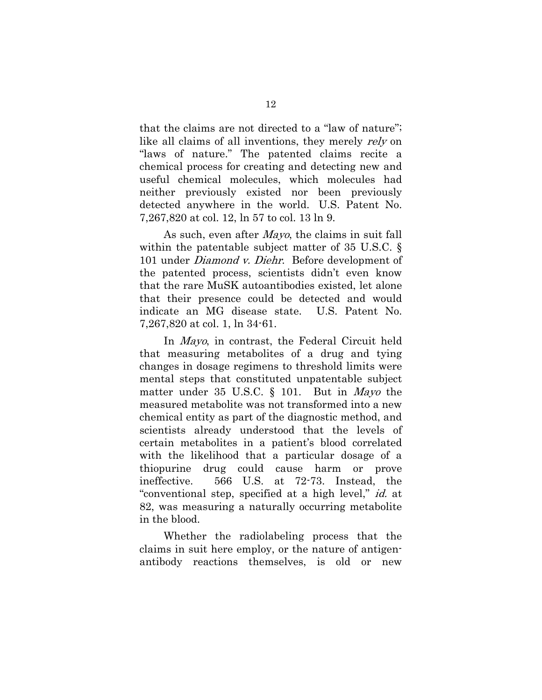that the claims are not directed to a "law of nature"; like all claims of all inventions, they merely rely on "laws of nature." The patented claims recite a chemical process for creating and detecting new and useful chemical molecules, which molecules had neither previously existed nor been previously detected anywhere in the world. U.S. Patent No. 7,267,820 at col. 12, ln 57 to col. 13 ln 9.

As such, even after Mayo, the claims in suit fall within the patentable subject matter of 35 U.S.C. § 101 under *Diamond v. Diehr*. Before development of the patented process, scientists didn't even know that the rare MuSK autoantibodies existed, let alone that their presence could be detected and would indicate an MG disease state. U.S. Patent No. 7,267,820 at col. 1, ln 34-61.

In Mayo, in contrast, the Federal Circuit held that measuring metabolites of a drug and tying changes in dosage regimens to threshold limits were mental steps that constituted unpatentable subject matter under 35 U.S.C. § 101. But in *Mayo* the measured metabolite was not transformed into a new chemical entity as part of the diagnostic method, and scientists already understood that the levels of certain metabolites in a patient's blood correlated with the likelihood that a particular dosage of a thiopurine drug could cause harm or prove ineffective. 566 U.S. at 72-73. Instead, the "conventional step, specified at a high level," id. at 82, was measuring a naturally occurring metabolite in the blood.

Whether the radiolabeling process that the claims in suit here employ, or the nature of antigenantibody reactions themselves, is old or new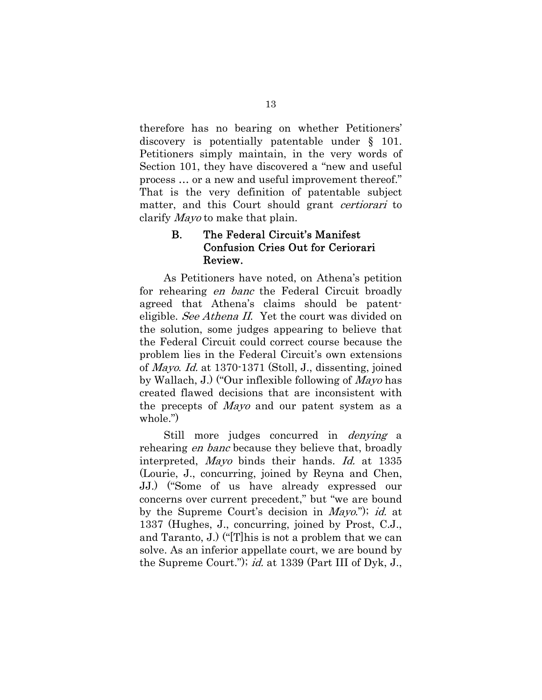therefore has no bearing on whether Petitioners' discovery is potentially patentable under § 101. Petitioners simply maintain, in the very words of Section 101, they have discovered a "new and useful process … or a new and useful improvement thereof." That is the very definition of patentable subject matter, and this Court should grant *certiorari* to clarify Mayo to make that plain.

### B. The Federal Circuit's Manifest Confusion Cries Out for Ceriorari Review.

As Petitioners have noted, on Athena's petition for rehearing en banc the Federal Circuit broadly agreed that Athena's claims should be patenteligible. See Athena II. Yet the court was divided on the solution, some judges appearing to believe that the Federal Circuit could correct course because the problem lies in the Federal Circuit's own extensions of Mayo. Id. at 1370-1371 (Stoll, J., dissenting, joined by Wallach, J.) ("Our inflexible following of Mayo has created flawed decisions that are inconsistent with the precepts of Mayo and our patent system as a whole.")

Still more judges concurred in *denying* a rehearing *en banc* because they believe that, broadly interpreted, Mayo binds their hands. Id. at 1335 (Lourie, J., concurring, joined by Reyna and Chen, JJ.) ("Some of us have already expressed our concerns over current precedent," but "we are bound by the Supreme Court's decision in *Mayo*."); *id.* at 1337 (Hughes, J., concurring, joined by Prost, C.J., and Taranto, J.) ("[T]his is not a problem that we can solve. As an inferior appellate court, we are bound by the Supreme Court."); *id.* at 1339 (Part III of Dyk, J.,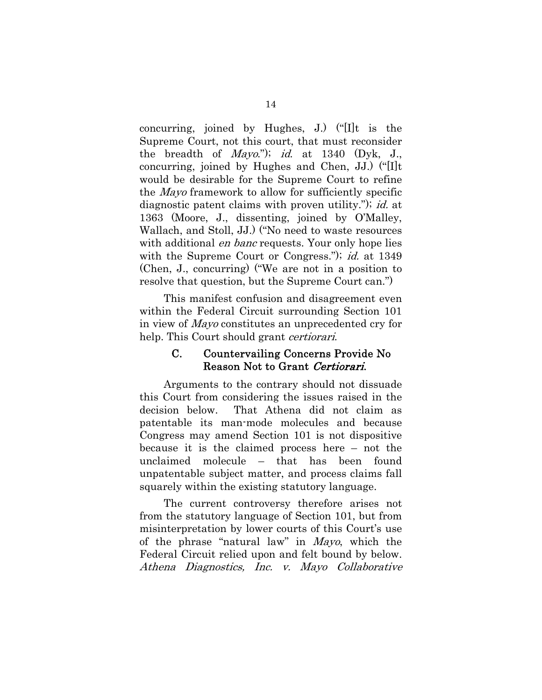concurring, joined by Hughes, J.) ("[I]t is the Supreme Court, not this court, that must reconsider the breadth of *Mayo*."); id. at  $1340$  (Dyk, J., concurring, joined by Hughes and Chen, JJ.) ("[I]t would be desirable for the Supreme Court to refine the Mayo framework to allow for sufficiently specific diagnostic patent claims with proven utility."); id. at 1363 (Moore, J., dissenting, joined by O'Malley, Wallach, and Stoll, JJ.) ("No need to waste resources with additional *en banc* requests. Your only hope lies with the Supreme Court or Congress."); *id.* at 1349 (Chen, J., concurring) ("We are not in a position to resolve that question, but the Supreme Court can.")

This manifest confusion and disagreement even within the Federal Circuit surrounding Section 101 in view of Mayo constitutes an unprecedented cry for help. This Court should grant *certiorari*.

#### C. Countervailing Concerns Provide No Reason Not to Grant Certiorari.

Arguments to the contrary should not dissuade this Court from considering the issues raised in the decision below. That Athena did not claim as patentable its man-mode molecules and because Congress may amend Section 101 is not dispositive because it is the claimed process here – not the unclaimed molecule – that has been found unpatentable subject matter, and process claims fall squarely within the existing statutory language.

The current controversy therefore arises not from the statutory language of Section 101, but from misinterpretation by lower courts of this Court's use of the phrase "natural law" in Mayo, which the Federal Circuit relied upon and felt bound by below. Athena Diagnostics, Inc. v. Mayo Collaborative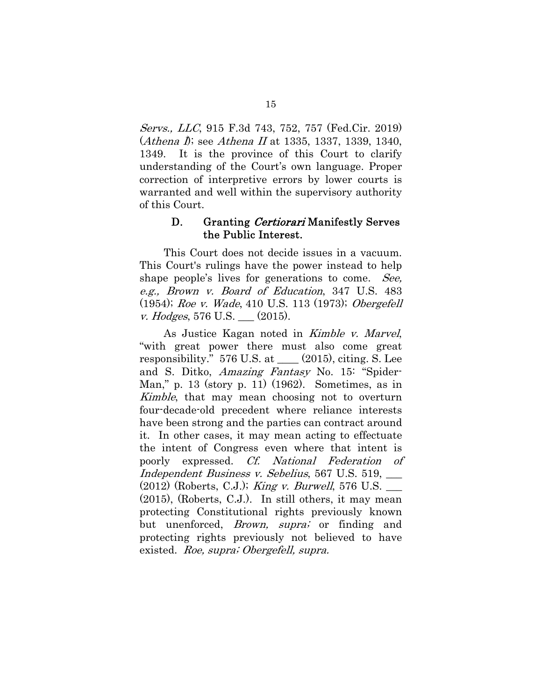Servs., LLC, 915 F.3d 743, 752, 757 (Fed.Cir. 2019) (*Athena I*); see *Athena II* at 1335, 1337, 1339, 1340, 1349. It is the province of this Court to clarify understanding of the Court's own language. Proper correction of interpretive errors by lower courts is warranted and well within the supervisory authority of this Court.

#### D. Granting Certiorari Manifestly Serves the Public Interest.

This Court does not decide issues in a vacuum. This Court's rulings have the power instead to help shape people's lives for generations to come. See, e.g., Brown v. Board of Education, 347 U.S. 483 (1954); Roe v. Wade, 410 U.S. 113 (1973); Obergefell v. Hodges, 576 U.S.  $(2015)$ .

As Justice Kagan noted in Kimble v. Marvel, "with great power there must also come great responsibility." 576 U.S. at \_\_\_\_ (2015), citing. S. Lee and S. Ditko, Amazing Fantasy No. 15: "Spider-Man," p. 13 (story p. 11) (1962). Sometimes, as in Kimble, that may mean choosing not to overturn four-decade-old precedent where reliance interests have been strong and the parties can contract around it. In other cases, it may mean acting to effectuate the intent of Congress even where that intent is poorly expressed. Cf. National Federation of Independent Business v. Sebelius, 567 U.S. 519, \_\_\_  $(2012)$  (Roberts, C.J.); *King v. Burwell*, 576 U.S. (2015), (Roberts, C.J.). In still others, it may mean protecting Constitutional rights previously known but unenforced, *Brown*, *supra*; or finding and protecting rights previously not believed to have existed. Roe, supra; Obergefell, supra.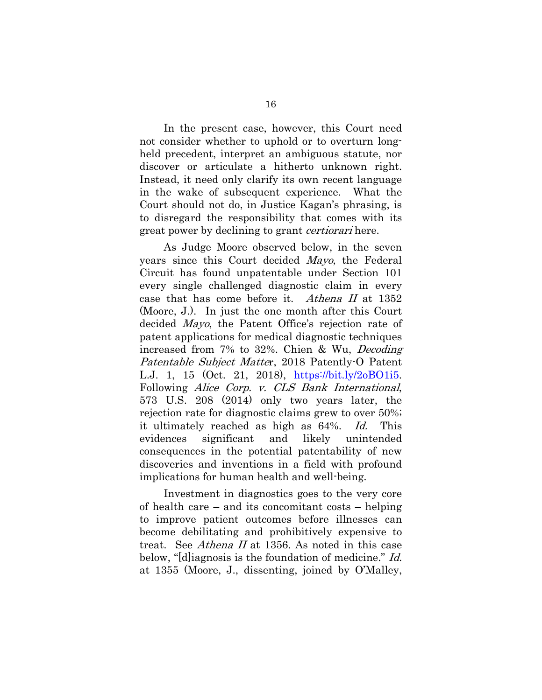In the present case, however, this Court need not consider whether to uphold or to overturn longheld precedent, interpret an ambiguous statute, nor discover or articulate a hitherto unknown right. Instead, it need only clarify its own recent language in the wake of subsequent experience. What the Court should not do, in Justice Kagan's phrasing, is to disregard the responsibility that comes with its great power by declining to grant *certiorari* here.

As Judge Moore observed below, in the seven years since this Court decided Mayo, the Federal Circuit has found unpatentable under Section 101 every single challenged diagnostic claim in every case that has come before it. Athena II at 1352 (Moore, J.). In just the one month after this Court decided Mayo, the Patent Office's rejection rate of patent applications for medical diagnostic techniques increased from 7% to 32%. Chien & Wu, Decoding Patentable Subject Matter, 2018 Patently-O Patent L.J. 1, 15 (Oct. 21, 2018), https://bit.ly/2oBO1i5. Following Alice Corp. v. CLS Bank International, 573 U.S. 208 (2014) only two years later, the rejection rate for diagnostic claims grew to over 50%; it ultimately reached as high as 64%. Id. This evidences significant and likely unintended consequences in the potential patentability of new discoveries and inventions in a field with profound implications for human health and well-being.

Investment in diagnostics goes to the very core of health care – and its concomitant costs – helping to improve patient outcomes before illnesses can become debilitating and prohibitively expensive to treat. See *Athena II* at 1356. As noted in this case below, "[d] iagnosis is the foundation of medicine." Id. at 1355 (Moore, J., dissenting, joined by O'Malley,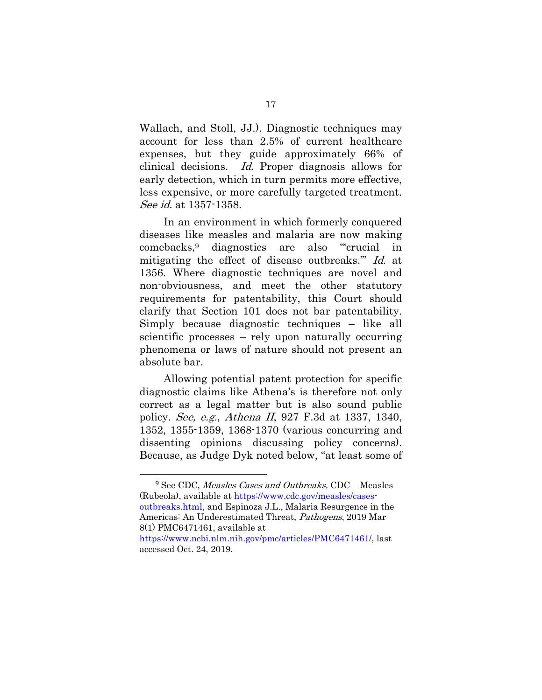Wallach, and Stoll, JJ.). Diagnostic techniques may account for less than 2.5% of current healthcare expenses, but they guide approximately 66% of clinical decisions. Id. Proper diagnosis allows for early detection, which in turn permits more effective, less expensive, or more carefully targeted treatment. See id. at 1357-1358.

In an environment in which formerly conquered diseases like measles and malaria are now making comebacks,9 diagnostics are also "'crucial in mitigating the effect of disease outbreaks.'" Id. at 1356. Where diagnostic techniques are novel and non-obviousness, and meet the other statutory requirements for patentability, this Court should clarify that Section 101 does not bar patentability. Simply because diagnostic techniques – like all scientific processes – rely upon naturally occurring phenomena or laws of nature should not present an absolute bar.

Allowing potential patent protection for specific diagnostic claims like Athena's is therefore not only correct as a legal matter but is also sound public policy. See, e.g., Athena II, 927 F.3d at 1337, 1340, 1352, 1355-1359, 1368-1370 (various concurring and dissenting opinions discussing policy concerns). Because, as Judge Dyk noted below, "at least some of

<sup>&</sup>lt;sup>9</sup> See CDC, Measles Cases and Outbreaks, CDC - Measles (Rubeola), available at https://www.cdc.gov/measles/casesoutbreaks.html, and Espinoza J.L., Malaria Resurgence in the Americas: An Underestimated Threat, Pathogens, 2019 Mar 8(1) PMC6471461, available at

https://www.ncbi.nlm.nih.gov/pmc/articles/PMC6471461/, last accessed Oct. 24, 2019.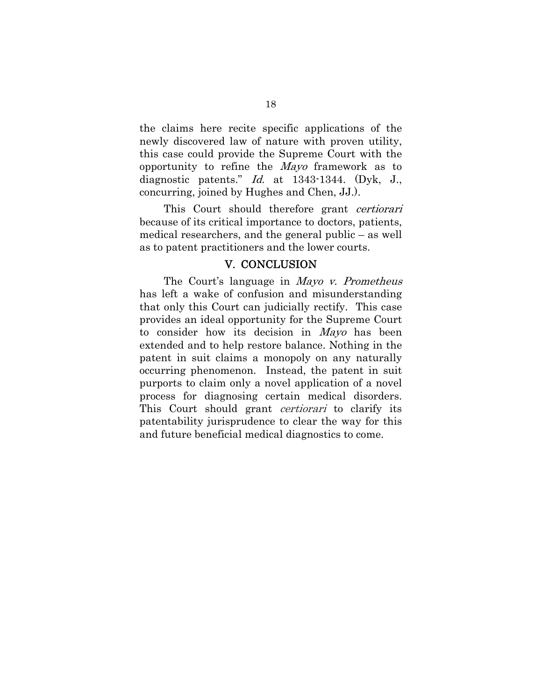the claims here recite specific applications of the newly discovered law of nature with proven utility, this case could provide the Supreme Court with the opportunity to refine the Mayo framework as to diagnostic patents." Id. at 1343-1344. (Dyk, J., concurring, joined by Hughes and Chen, JJ.).

This Court should therefore grant certiorari because of its critical importance to doctors, patients, medical researchers, and the general public – as well as to patent practitioners and the lower courts.

#### V. CONCLUSION

The Court's language in *Mayo v. Prometheus* has left a wake of confusion and misunderstanding that only this Court can judicially rectify. This case provides an ideal opportunity for the Supreme Court to consider how its decision in Mayo has been extended and to help restore balance. Nothing in the patent in suit claims a monopoly on any naturally occurring phenomenon. Instead, the patent in suit purports to claim only a novel application of a novel process for diagnosing certain medical disorders. This Court should grant *certiorari* to clarify its patentability jurisprudence to clear the way for this and future beneficial medical diagnostics to come.